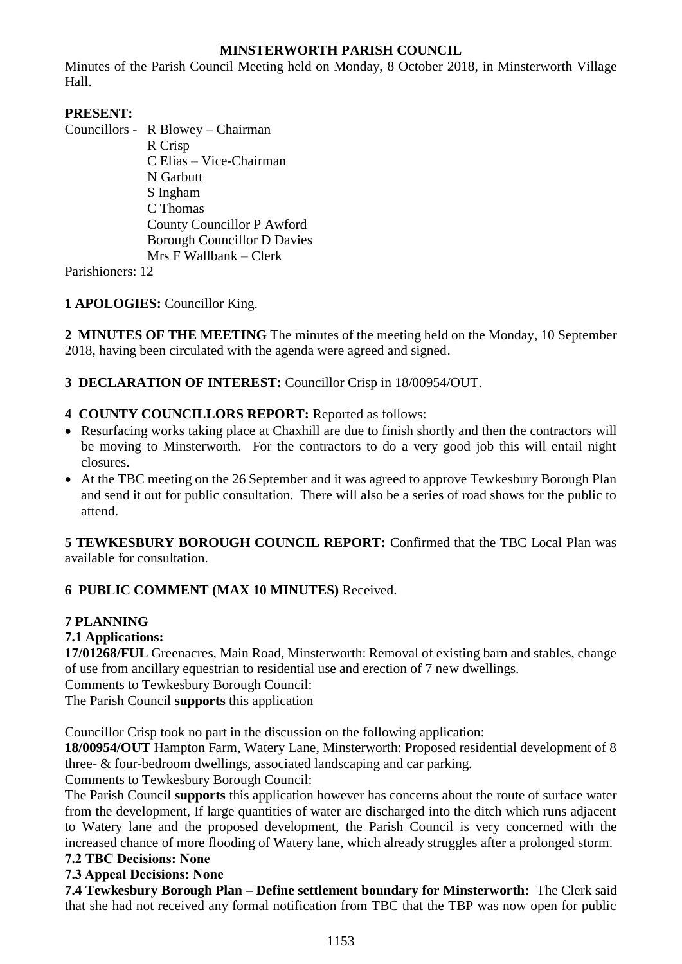## **MINSTERWORTH PARISH COUNCIL**

Minutes of the Parish Council Meeting held on Monday, 8 October 2018, in Minsterworth Village Hall.

# **PRESENT:**

Councillors - R Blowey – Chairman R Crisp C Elias – Vice-Chairman N Garbutt S Ingham C Thomas County Councillor P Awford Borough Councillor D Davies Mrs F Wallbank – Clerk

Parishioners: 12

**1 APOLOGIES:** Councillor King.

**2 MINUTES OF THE MEETING** The minutes of the meeting held on the Monday, 10 September 2018, having been circulated with the agenda were agreed and signed.

- **3 DECLARATION OF INTEREST:** Councillor Crisp in 18/00954/OUT.
- **4 COUNTY COUNCILLORS REPORT:** Reported as follows:
- Resurfacing works taking place at Chaxhill are due to finish shortly and then the contractors will be moving to Minsterworth. For the contractors to do a very good job this will entail night closures.
- At the TBC meeting on the 26 September and it was agreed to approve Tewkesbury Borough Plan and send it out for public consultation. There will also be a series of road shows for the public to attend.

**5 TEWKESBURY BOROUGH COUNCIL REPORT:** Confirmed that the TBC Local Plan was available for consultation.

# **6 PUBLIC COMMENT (MAX 10 MINUTES)** Received.

## **7 PLANNING**

## **7.1 Applications:**

**17/01268/FUL** Greenacres, Main Road, Minsterworth: Removal of existing barn and stables, change of use from ancillary equestrian to residential use and erection of 7 new dwellings.

Comments to Tewkesbury Borough Council:

The Parish Council **supports** this application

Councillor Crisp took no part in the discussion on the following application:

**18/00954/OUT** Hampton Farm, Watery Lane, Minsterworth: Proposed residential development of 8 three- & four-bedroom dwellings, associated landscaping and car parking.

Comments to Tewkesbury Borough Council:

The Parish Council **supports** this application however has concerns about the route of surface water from the development, If large quantities of water are discharged into the ditch which runs adjacent to Watery lane and the proposed development, the Parish Council is very concerned with the increased chance of more flooding of Watery lane, which already struggles after a prolonged storm.

## **7.2 TBC Decisions: None**

## **7.3 Appeal Decisions: None**

**7.4 Tewkesbury Borough Plan – Define settlement boundary for Minsterworth:** The Clerk said that she had not received any formal notification from TBC that the TBP was now open for public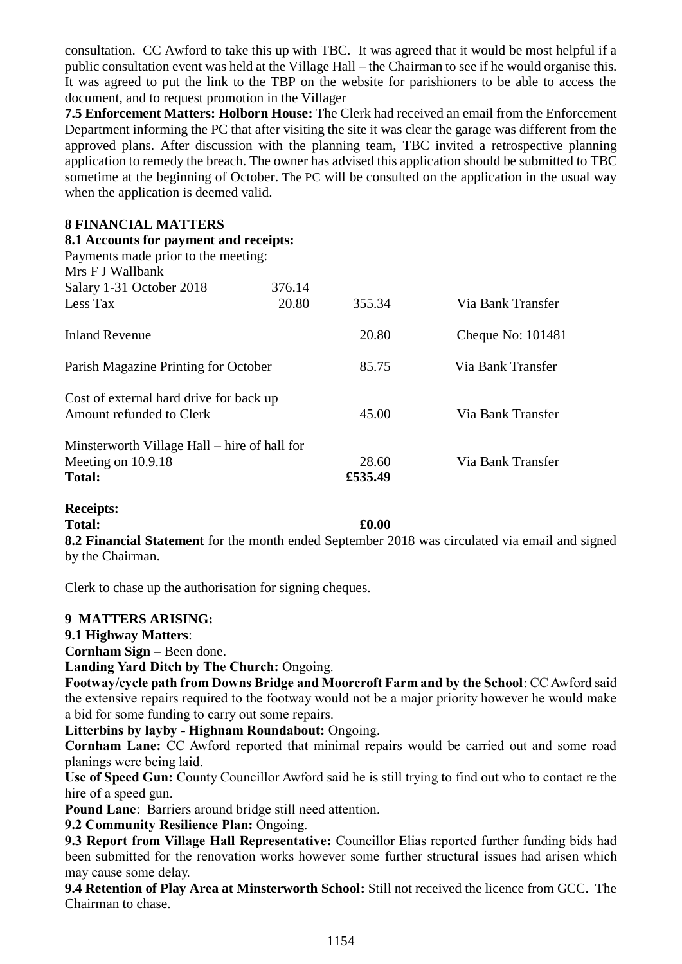consultation. CC Awford to take this up with TBC. It was agreed that it would be most helpful if a public consultation event was held at the Village Hall – the Chairman to see if he would organise this. It was agreed to put the link to the TBP on the website for parishioners to be able to access the document, and to request promotion in the Villager

**7.5 Enforcement Matters: Holborn House:** The Clerk had received an email from the Enforcement Department informing the PC that after visiting the site it was clear the garage was different from the approved plans. After discussion with the planning team, TBC invited a retrospective planning application to remedy the breach. The owner has advised this application should be submitted to TBC sometime at the beginning of October. The PC will be consulted on the application in the usual way when the application is deemed valid.

#### **8 FINANCIAL MATTERS**

**8.1 Accounts for payment and receipts:**

| Payments made prior to the meeting:<br>Mrs F J Wallbank                             |        |                  |                     |
|-------------------------------------------------------------------------------------|--------|------------------|---------------------|
| Salary 1-31 October 2018                                                            | 376.14 |                  |                     |
| Less Tax                                                                            | 20.80  | 355.34           | Via Bank Transfer   |
| <b>Inland Revenue</b>                                                               |        | 20.80            | Cheque No: $101481$ |
| Parish Magazine Printing for October                                                |        | 85.75            | Via Bank Transfer   |
| Cost of external hard drive for back up<br>Amount refunded to Clerk                 |        | 45.00            | Via Bank Transfer   |
| Minsterworth Village Hall – hire of hall for<br>Meeting on 10.9.18<br><b>Total:</b> |        | 28.60<br>£535.49 | Via Bank Transfer   |

### **Receipts:**

### **Total: £0.00**

**8.2 Financial Statement** for the month ended September 2018 was circulated via email and signed by the Chairman.

Clerk to chase up the authorisation for signing cheques.

## **9 MATTERS ARISING:**

### **9.1 Highway Matters**:

**Cornham Sign –** Been done.

**Landing Yard Ditch by The Church:** Ongoing.

**Footway/cycle path from Downs Bridge and Moorcroft Farm and by the School**: CC Awford said the extensive repairs required to the footway would not be a major priority however he would make a bid for some funding to carry out some repairs.

**Litterbins by layby - Highnam Roundabout:** Ongoing.

**Cornham Lane:** CC Awford reported that minimal repairs would be carried out and some road planings were being laid.

**Use of Speed Gun:** County Councillor Awford said he is still trying to find out who to contact re the hire of a speed gun.

**Pound Lane**: Barriers around bridge still need attention.

**9.2 Community Resilience Plan:** Ongoing.

**9.3 Report from Village Hall Representative:** Councillor Elias reported further funding bids had been submitted for the renovation works however some further structural issues had arisen which may cause some delay.

**9.4 Retention of Play Area at Minsterworth School:** Still not received the licence from GCC. The Chairman to chase.